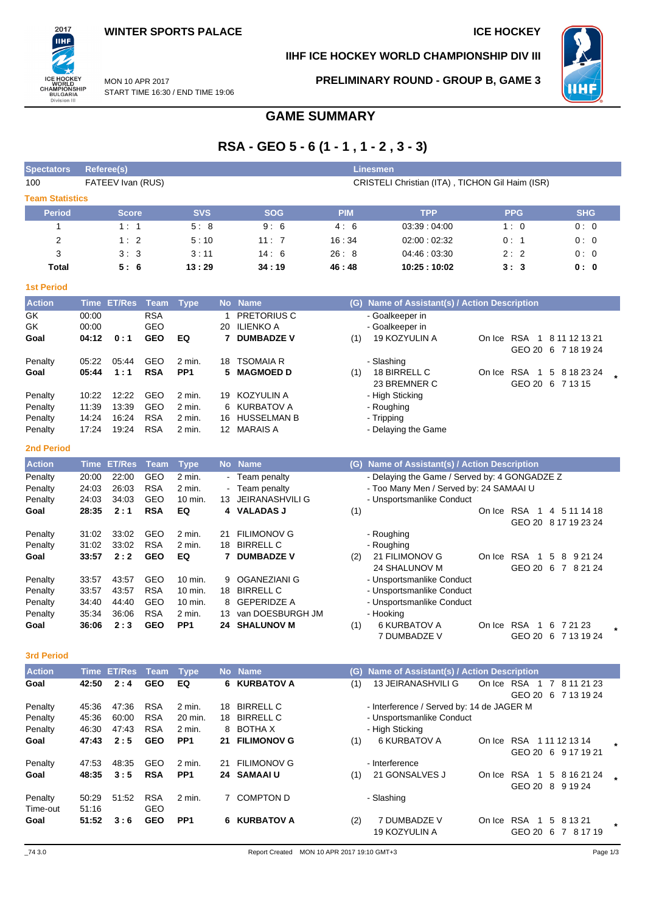

# **IIHF ICE HOCKEY WORLD CHAMPIONSHIP DIV III**

**PRELIMINARY ROUND - GROUP B, GAME 3**



MON 10 APR 2017 START TIME 16:30 / END TIME 19:06

# **GAME SUMMARY**

# **RSA - GEO 5 - 6 (1 - 1 , 1 - 2 , 3 - 3)**

| <b>Spectators</b>      |                | Referee(s)        |                   | <b>Linesmen</b>   |                                                 |                                         |            |                                                                      |            |                              |                                                   |  |  |  |
|------------------------|----------------|-------------------|-------------------|-------------------|-------------------------------------------------|-----------------------------------------|------------|----------------------------------------------------------------------|------------|------------------------------|---------------------------------------------------|--|--|--|
| 100                    |                | FATEEV Ivan (RUS) |                   |                   | CRISTELI Christian (ITA), TICHON Gil Haim (ISR) |                                         |            |                                                                      |            |                              |                                                   |  |  |  |
| <b>Team Statistics</b> |                |                   |                   |                   |                                                 |                                         |            |                                                                      |            |                              |                                                   |  |  |  |
| <b>Period</b>          |                | <b>Score</b>      |                   | <b>SVS</b>        |                                                 | <b>SOG</b>                              | <b>PIM</b> | <b>TPP</b>                                                           |            | <b>PPG</b>                   | <b>SHG</b>                                        |  |  |  |
| 1                      |                | 1:1               |                   | 5:8               |                                                 | 9:6                                     | 4:6        | 03:39:04:00                                                          |            | 1:0                          | 0:0                                               |  |  |  |
| 2                      |                | 1:2               |                   | 5:10              |                                                 | 11:7                                    | 16:34      | 02:00:02:32                                                          |            | 0:1                          | 0:0                                               |  |  |  |
| 3                      |                | 3:3               |                   | 3:11              |                                                 | 14:6                                    | 26:8       | 04:46:03:30                                                          |            | 2:2                          | 0:0                                               |  |  |  |
| Total                  |                | 5:6               |                   | 13:29             |                                                 | 34:19                                   | 46:48      | 10:25:10:02                                                          |            | 3:3                          | 0: 0                                              |  |  |  |
| <b>1st Period</b>      |                |                   |                   |                   |                                                 |                                         |            |                                                                      |            |                              |                                                   |  |  |  |
| <b>Action</b>          |                | Time ET/Res       | <b>Team</b>       | <b>Type</b>       |                                                 | No Name                                 |            | (G) Name of Assistant(s) / Action Description                        |            |                              |                                                   |  |  |  |
| GK                     | 00:00          |                   | <b>RSA</b>        |                   | 1                                               | PRETORIUS C                             |            | - Goalkeeper in                                                      |            |                              |                                                   |  |  |  |
| GK                     | 00:00          |                   | GEO               |                   | 20                                              | <b>ILIENKO A</b>                        |            | - Goalkeeper in                                                      |            |                              |                                                   |  |  |  |
| Goal                   | 04:12          | 0:1               | <b>GEO</b>        | EQ                | 7                                               | <b>DUMBADZE V</b>                       | (1)        | 19 KOZYULIN A                                                        |            |                              | On Ice RSA 1 8 11 12 13 21<br>GEO 20 6 7 18 19 24 |  |  |  |
| Penalty                | 05:22          | 05:44             | GEO               | 2 min.            | 18                                              | <b>TSOMAIA R</b>                        |            | - Slashing                                                           |            |                              |                                                   |  |  |  |
| Goal                   | 05:44          | 1:1               | <b>RSA</b>        | PP <sub>1</sub>   | 5                                               | <b>MAGMOED D</b>                        | (1)        | 18 BIRRELL C                                                         | On Ice     | <b>RSA</b><br>$\overline{1}$ | 5 8 18 23 24                                      |  |  |  |
|                        |                |                   |                   |                   |                                                 |                                         |            | 23 BREMNER C                                                         |            |                              | GEO 20 6 7 13 15                                  |  |  |  |
| Penalty                | 10:22          | 12:22             | GEO               | 2 min.            | 19                                              | <b>KOZYULIN A</b>                       |            | - High Sticking                                                      |            |                              |                                                   |  |  |  |
| Penalty                | 11:39<br>14:24 | 13:39<br>16:24    | GEO<br><b>RSA</b> | 2 min.<br>2 min.  | 6<br>16                                         | <b>KURBATOV A</b><br><b>HUSSELMAN B</b> |            | - Roughing                                                           |            |                              |                                                   |  |  |  |
| Penalty<br>Penalty     | 17:24          | 19:24             | <b>RSA</b>        | 2 min.            |                                                 | 12 MARAIS A                             |            | - Tripping<br>- Delaying the Game                                    |            |                              |                                                   |  |  |  |
|                        |                |                   |                   |                   |                                                 |                                         |            |                                                                      |            |                              |                                                   |  |  |  |
| <b>2nd Period</b>      |                |                   |                   |                   |                                                 |                                         |            |                                                                      |            |                              |                                                   |  |  |  |
| <b>Action</b>          | <b>Time</b>    | <b>ET/Res</b>     | <b>Team</b>       | <b>Type</b>       |                                                 | No Name                                 |            | (G) Name of Assistant(s) / Action Description                        |            |                              |                                                   |  |  |  |
| Penalty                | 20:00          | 22:00             | GEO               | 2 min.            |                                                 | Team penalty                            |            | - Delaying the Game / Served by: 4 GONGADZE Z                        |            |                              |                                                   |  |  |  |
| Penalty<br>Penalty     | 24:03<br>24:03 | 26:03<br>34:03    | <b>RSA</b><br>GEO | 2 min.<br>10 min. | 13                                              | Team penalty<br><b>JEIRANASHVILI G</b>  |            | - Too Many Men / Served by: 24 SAMAAI U<br>- Unsportsmanlike Conduct |            |                              |                                                   |  |  |  |
| Goal                   | 28:35          | 2:1               | <b>RSA</b>        | EQ                | 4                                               | <b>VALADAS J</b>                        | (1)        |                                                                      |            | On Ice RSA 1                 | 4 5 11 14 18                                      |  |  |  |
|                        |                |                   |                   |                   |                                                 |                                         |            |                                                                      |            |                              | GEO 20 8 17 19 23 24                              |  |  |  |
| Penalty                | 31:02          | 33:02             | GEO               | 2 min.            | 21                                              | <b>FILIMONOV G</b>                      |            | - Roughing                                                           |            |                              |                                                   |  |  |  |
| Penalty                | 31:02          | 33:02             | <b>RSA</b>        | 2 min.            | 18                                              | <b>BIRRELL C</b>                        |            | - Roughing                                                           |            |                              |                                                   |  |  |  |
| Goal                   | 33:57          | 2:2               | <b>GEO</b>        | EQ                | 7                                               | <b>DUMBADZE V</b>                       | (2)        | 21 FILIMONOV G                                                       |            | On Ice RSA 1                 | 5<br>8 9 21 24                                    |  |  |  |
| Penalty                | 33:57          | 43:57             | GEO               | 10 min.           | 9                                               | <b>OGANEZIANI G</b>                     |            | 24 SHALUNOV M<br>- Unsportsmanlike Conduct                           |            |                              | GEO 20 6 7 8 21 24                                |  |  |  |
| Penalty                | 33:57          | 43:57             | <b>RSA</b>        | 10 min.           | 18                                              | <b>BIRRELL C</b>                        |            | - Unsportsmanlike Conduct                                            |            |                              |                                                   |  |  |  |
| Penalty                | 34:40          | 44:40             | GEO               | 10 min.           | 8                                               | <b>GEPERIDZE A</b>                      |            | - Unsportsmanlike Conduct                                            |            |                              |                                                   |  |  |  |
| Penalty                | 35:34          | 36:06             | <b>RSA</b>        | 2 min.            | 13                                              | van DOESBURGH JM                        |            | - Hooking                                                            |            |                              |                                                   |  |  |  |
| Goal                   | 36:06          | 2:3               | <b>GEO</b>        | PP <sub>1</sub>   | 24                                              | <b>SHALUNOV M</b>                       | (1)        | <b>6 KURBATOV A</b>                                                  | On Ice RSA | $\overline{1}$               | 6 7 21 23                                         |  |  |  |
|                        |                |                   |                   |                   |                                                 |                                         |            | 7 DUMBADZE V                                                         |            |                              | GEO 20 6 7 13 19 24                               |  |  |  |
| <b>3rd Period</b>      |                |                   |                   |                   |                                                 |                                         |            |                                                                      |            |                              |                                                   |  |  |  |
| <b>Action</b>          |                | Time ET/Res       | <b>Team</b>       | <b>Type</b>       |                                                 | No Name                                 | (G)        | Name of Assistant(s) / Action Description                            |            |                              |                                                   |  |  |  |
| Goal                   | 42:50          | 2:4               | <b>GEO</b>        | EQ                |                                                 | 6 KURBATOV A                            | (1)        | 13 JEIRANASHVILI G                                                   |            |                              | On Ice RSA 1 7 8 11 21 23                         |  |  |  |
| Penalty                | 45:36          | 47:36             | <b>RSA</b>        | 2 min.            | 18                                              | <b>BIRRELL C</b>                        |            | - Interference / Served by: 14 de JAGER M                            |            |                              | GEO 20 6 7 13 19 24                               |  |  |  |
| Penalty                | 45:36          | 60:00             | <b>RSA</b>        | 20 min.           | 18                                              | <b>BIRRELL C</b>                        |            | - Unsportsmanlike Conduct                                            |            |                              |                                                   |  |  |  |
| Penalty                | 46:30          | 47:43             | <b>RSA</b>        | 2 min.            | 8                                               | <b>BOTHA X</b>                          |            | - High Sticking                                                      |            |                              |                                                   |  |  |  |
| Goal                   | 47:43          | 2:5               | <b>GEO</b>        | PP <sub>1</sub>   | 21                                              | <b>FILIMONOV G</b>                      | (1)        | <b>6 KURBATOV A</b>                                                  |            |                              | On Ice RSA 111121314                              |  |  |  |
|                        |                |                   |                   |                   |                                                 |                                         |            |                                                                      |            |                              | GEO 20 6 9 17 19 21                               |  |  |  |
| Penalty                | 47:53          | 48:35             | GEO               | 2 min.            | 21                                              | <b>FILIMONOV G</b>                      |            | - Interference                                                       |            |                              |                                                   |  |  |  |
| Goal                   | 48:35          | 3:5               | <b>RSA</b>        | PP <sub>1</sub>   | 24                                              | <b>SAMAAIU</b>                          | (1)        | 21 GONSALVES J                                                       |            |                              | On Ice RSA 1 5 8 16 21 24<br>GEO 20 8 9 19 24     |  |  |  |

Time-out 51:16 GEO

Penalty 50:29 51:52 RSA 2 min. 7 COMPTON D - Slashing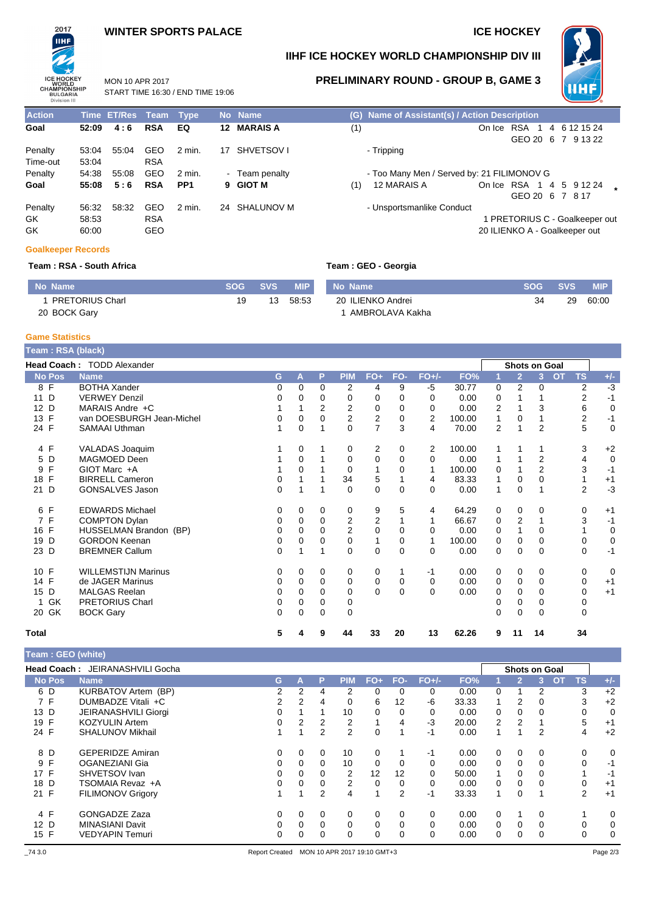## **WINTER SPORTS PALACE ICE HOCKEY**

START TIME 16:30 / END TIME 19:06

MON 10 APR 2017



# **IIHF ICE HOCKEY WORLD CHAMPIONSHIP DIV III**



**PRELIMINARY ROUND - GROUP B, GAME 3**

| <b>Action</b> |       | Time ET/Res Team Type |            |                 |    | No Name        |                           | (G) Name of Assistant(s) / Action Description |
|---------------|-------|-----------------------|------------|-----------------|----|----------------|---------------------------|-----------------------------------------------|
| Goal          | 52:09 | 4:6                   | <b>RSA</b> | EQ              |    | 12 MARAIS A    | (1)                       | On Ice RSA<br>4 6 12 15 24                    |
|               |       |                       |            |                 |    |                |                           | GEO 20 6 7 9 13 22                            |
| Penalty       | 53:04 | 55:04                 | GEO        | 2 min.          | 17 | SHVETSOV I     | - Tripping                |                                               |
| Time-out      | 53:04 |                       | <b>RSA</b> |                 |    |                |                           |                                               |
| Penalty       | 54:38 | 55:08                 | GEO        | 2 min.          |    | - Team penalty |                           | - Too Many Men / Served by: 21 FILIMONOV G    |
| Goal          | 55:08 | 5:6                   | <b>RSA</b> | PP <sub>1</sub> |    | 9 GIOT M       | 12 MARAIS A<br>(1)        | On Ice RSA 1 4 5 9 12 24                      |
|               |       |                       |            |                 |    |                |                           | GEO 20 6 7 8 17                               |
| Penalty       | 56:32 | 58:32                 | GEO        | $2$ min.        |    | 24 SHALUNOV M  | - Unsportsmanlike Conduct |                                               |
| GK.           | 58:53 |                       | <b>RSA</b> |                 |    |                |                           | I PRETORIUS C - Goalkeeper out                |
| GK            | 60:00 |                       | GEO        |                 |    |                |                           | 20 ILIENKO A - Goalkeeper out                 |

#### **Goalkeeper Records**

### **Team : RSA - South Africa Team : GEO - Georgia**

| No Name                | <b>SOG</b> | <b>SVS</b> | <b>MIP</b> | No Name           | <b>SOG</b> | <b>SVS</b> | MIP.  |
|------------------------|------------|------------|------------|-------------------|------------|------------|-------|
| <b>PRETORIUS Charl</b> |            | 13         | 58:53      | 20 ILIENKO Andrei | 34         | 29         | 60:00 |
| 20 BOCK Gary           |            |            |            | AMBROLAVA Kakha   |            |            |       |

#### **Game Statistics**

| Team: RSA (black)    |                            |          |          |          |                |                |          |              |        |   |                      |                |                        |             |
|----------------------|----------------------------|----------|----------|----------|----------------|----------------|----------|--------------|--------|---|----------------------|----------------|------------------------|-------------|
|                      | Head Coach: TODD Alexander |          |          |          |                |                |          |              |        |   | <b>Shots on Goal</b> |                |                        |             |
| <b>No Pos</b>        | <b>Name</b>                | G        | A        | P        | <b>PIM</b>     | $FO+$          | FO-      | <b>FO+/-</b> | FO%    |   | $\overline{2}$       | $\overline{3}$ | <b>TS</b><br><b>OT</b> | $+/-$       |
| 8 F                  | <b>BOTHA Xander</b>        | 0        | 0        | 0        | 2              | 4              | 9        | -5           | 30.77  | 0 | 2                    | 0              | $\overline{2}$         | $-3$        |
| D<br>11              | <b>VERWEY Denzil</b>       | 0        | 0        | $\Omega$ | 0              | $\Omega$       | 0        | 0            | 0.00   | 0 |                      |                | $\overline{2}$         | $-1$        |
| D<br>12 <sup>2</sup> | MARAIS Andre +C            |          |          | 2        | 2              | 0              | 0        | $\Omega$     | 0.00   | 2 |                      | 3              | 6                      | 0           |
| F<br>13              | van DOESBURGH Jean-Michel  |          | 0        |          | $\overline{2}$ | $\overline{2}$ | 0        | 2            | 100.00 | 1 | 0                    |                | 2                      | $-1$        |
| 24 F                 | <b>SAMAAI Uthman</b>       |          | 0        |          | $\Omega$       | $\overline{7}$ | 3        | 4            | 70.00  | 2 |                      | $\overline{2}$ | 5                      | $\mathbf 0$ |
| 4 F                  | VALADAS Joaquim            |          | 0        |          | 0              | 2              | 0        | 2            | 100.00 |   |                      |                | 3                      | $+2$        |
| 5 D                  | MAGMOED Deen               |          | 0        |          | 0              | $\mathbf 0$    | $\Omega$ | $\Omega$     | 0.00   | 1 |                      | $\overline{2}$ | 4                      | $\mathbf 0$ |
| F<br>9               | GIOT Marc +A               |          | 0        |          | 0              |                | 0        | 1            | 100.00 | 0 |                      | 2              | 3                      | $-1$        |
| F<br>18              | <b>BIRRELL Cameron</b>     | 0        |          |          | 34             | 5              |          | 4            | 83.33  | 1 | $\Omega$             | 0              |                        | $+1$        |
| 21<br>D              | <b>GONSALVES Jason</b>     | $\Omega$ |          |          | $\Omega$       | $\Omega$       | 0        | $\Omega$     | 0.00   | 1 | $\Omega$             |                | $\overline{2}$         | $-3$        |
| 6 F                  | <b>EDWARDS Michael</b>     | 0        | 0        | 0        | 0              | 9              | 5        | 4            | 64.29  | 0 | $\mathbf 0$          | 0              | 0                      | $+1$        |
| 7 F                  | <b>COMPTON Dylan</b>       | 0        | 0        | 0        | $\overline{2}$ | $\overline{2}$ |          |              | 66.67  | 0 | 2                    |                | 3                      | $-1$        |
| 16 F                 | HUSSELMAN Brandon (BP)     | 0        | 0        | $\Omega$ | $\overline{2}$ | 0              | 0        | $\Omega$     | 0.00   | 0 |                      | 0              |                        | 0           |
| 19<br>D              | <b>GORDON Keenan</b>       | 0        | 0        | 0        | 0              |                | 0        | $\mathbf 1$  | 100.00 | 0 | 0                    | 0              | 0                      | 0           |
| 23 D                 | <b>BREMNER Callum</b>      | 0        |          |          | $\Omega$       | $\Omega$       | 0        | $\Omega$     | 0.00   | 0 | $\Omega$             | $\Omega$       | $\Omega$               | $-1$        |
| 10 F                 | <b>WILLEMSTIJN Marinus</b> | 0        | 0        | 0        | 0              | 0              |          | $-1$         | 0.00   | 0 | 0                    | 0              | 0                      | 0           |
| 14 F                 | de JAGER Marinus           | 0        | 0        | $\Omega$ | 0              | 0              | 0        | $\Omega$     | 0.00   | 0 | 0                    | $\Omega$       | 0                      | $+1$        |
| 15 D                 | <b>MALGAS Reelan</b>       | 0        | 0        | $\Omega$ | 0              | $\Omega$       | $\Omega$ | $\Omega$     | 0.00   | 0 | 0                    | 0              | 0                      | $+1$        |
| GK<br>1              | <b>PRETORIUS Charl</b>     | 0        | 0        | 0        | 0              |                |          |              |        | 0 | 0                    | 0              | 0                      |             |
| 20 GK                | <b>BOCK Gary</b>           | $\Omega$ | $\Omega$ | $\Omega$ | $\Omega$       |                |          |              |        | 0 | $\Omega$             | 0              | 0                      |             |
| Total                |                            | 5        | 4        | 9        | 44             | 33             | 20       | 13           | 62.26  | 9 | 11                   | 14             | 34                     |             |

### **Team : GEO (white)**

| <b>Head Coach:</b> | JEIRANASHVILI Gocha      |          |   |          |     |                         |          |          |       |   | <b>Shots on Goal</b> |          |           |             |       |
|--------------------|--------------------------|----------|---|----------|-----|-------------------------|----------|----------|-------|---|----------------------|----------|-----------|-------------|-------|
| <b>No Pos</b>      | <b>Name</b>              | G        | А | P        | PIM | $FO+$                   | FO-      | $FO+/-$  | FO%   |   | $\mathbf{2}$         |          | <b>OT</b> | <b>TS</b>   | $+/-$ |
| 6 D                | KURBATOV Artem (BP)      | 2        | 2 | 4        | 2   | $\Omega$                | $\Omega$ | $\Omega$ | 0.00  | 0 |                      | 2        |           | 3           | $+2$  |
| 7 F                | DUMBADZE Vitali +C       | 2        | 2 | 4        | 0   | 6                       | 12       | -6       | 33.33 | 1 | 2                    | 0        |           | 3           | $+2$  |
| 13 D               | JEIRANASHVILI Giorgi     |          |   |          | 10  | 0                       | 0        | $\Omega$ | 0.00  | 0 | 0                    | 0        |           | 0           | 0     |
| 19 F               | <b>KOZYULIN Artem</b>    | 0        | 2 | 2        | 2   |                         | 4        | -3       | 20.00 | 2 | 2                    |          |           | 5           | $+1$  |
| 24 F               | <b>SHALUNOV Mikhail</b>  |          |   | 2        | 2   | $\Omega$                |          | -1       | 0.00  | 1 |                      | 2        |           | 4           | $+2$  |
| 8 D                | <b>GEPERIDZE Amiran</b>  | 0        | 0 | 0        | 10  | 0                       |          | -1       | 0.00  | 0 | 0                    | 0        |           | 0           | 0     |
| 9 F                | OGANEZIANI Gia           | 0        | 0 | $\Omega$ | 10  | 0                       | 0        | 0        | 0.00  | 0 | $\Omega$             | 0        |           | $\mathbf 0$ | -1    |
| 17 F               | SHVETSOV Ivan            | 0        | 0 |          | 2   | 12                      | 12       | $\Omega$ | 50.00 | 1 | $\Omega$             |          |           |             | $-1$  |
| 18 D               | TSOMAIA Revaz +A         | 0        | 0 | $\Omega$ | 2   | $\Omega$                | $\Omega$ | $\Omega$ | 0.00  | 0 | $\Omega$             | 0        |           | $\Omega$    | $+1$  |
| 21 F               | <b>FILIMONOV Grigory</b> |          |   | 2        | 4   | $\overline{\mathbf{A}}$ | 2        | -1       | 33.33 | 1 | $\Omega$             |          |           | 2           | $+1$  |
| 4 F                | <b>GONGADZE Zaza</b>     | $\Omega$ | 0 | 0        | 0   | 0                       | 0        | 0        | 0.00  | 0 |                      | 0        |           |             | 0     |
| 12 D               | <b>MINASIANI Davit</b>   | 0        | 0 | 0        | 0   | 0                       | 0        | 0        | 0.00  | 0 | $\Omega$             | $\Omega$ |           | 0           | 0     |
| 15 F               | <b>VEDYAPIN Temuri</b>   | 0        | 0 |          | 0   | 0                       | 0        | $\Omega$ | 0.00  | 0 |                      | 0        |           | 0           | 0     |